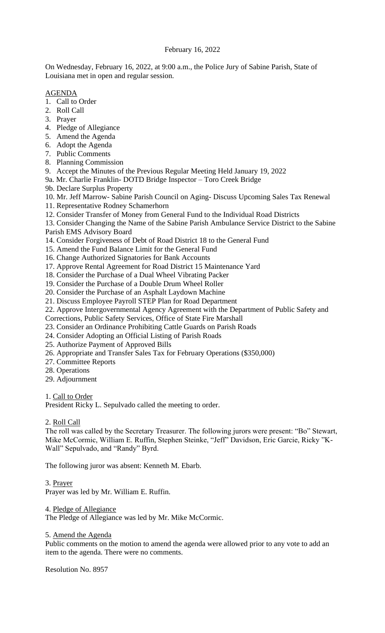# February 16, 2022

On Wednesday, February 16, 2022, at 9:00 a.m., the Police Jury of Sabine Parish, State of Louisiana met in open and regular session.

# AGENDA

- 1. Call to Order
- 2. Roll Call
- 3. Prayer
- 4. Pledge of Allegiance
- 5. Amend the Agenda
- 6. Adopt the Agenda
- 7. Public Comments
- 8. Planning Commission
- 9. Accept the Minutes of the Previous Regular Meeting Held January 19, 2022
- 9a. Mr. Charlie Franklin- DOTD Bridge Inspector Toro Creek Bridge
- 9b. Declare Surplus Property
- 10. Mr. Jeff Marrow- Sabine Parish Council on Aging- Discuss Upcoming Sales Tax Renewal
- 11. Representative Rodney Schamerhorn
- 12. Consider Transfer of Money from General Fund to the Individual Road Districts

13. Consider Changing the Name of the Sabine Parish Ambulance Service District to the Sabine Parish EMS Advisory Board

- 14. Consider Forgiveness of Debt of Road District 18 to the General Fund
- 15. Amend the Fund Balance Limit for the General Fund
- 16. Change Authorized Signatories for Bank Accounts
- 17. Approve Rental Agreement for Road District 15 Maintenance Yard
- 18. Consider the Purchase of a Dual Wheel Vibrating Packer
- 19. Consider the Purchase of a Double Drum Wheel Roller
- 20. Consider the Purchase of an Asphalt Laydown Machine
- 21. Discuss Employee Payroll STEP Plan for Road Department
- 22. Approve Intergovernmental Agency Agreement with the Department of Public Safety and
- Corrections, Public Safety Services, Office of State Fire Marshall
- 23. Consider an Ordinance Prohibiting Cattle Guards on Parish Roads
- 24. Consider Adopting an Official Listing of Parish Roads
- 25. Authorize Payment of Approved Bills
- 26. Appropriate and Transfer Sales Tax for February Operations (\$350,000)
- 27. Committee Reports
- 28. Operations
- 29. Adjournment

# 1. Call to Order

President Ricky L. Sepulvado called the meeting to order.

### 2. Roll Call

The roll was called by the Secretary Treasurer. The following jurors were present: "Bo" Stewart, Mike McCormic, William E. Ruffin, Stephen Steinke, "Jeff" Davidson, Eric Garcie, Ricky "K-Wall" Sepulvado, and "Randy" Byrd.

The following juror was absent: Kenneth M. Ebarb.

### 3. Prayer

Prayer was led by Mr. William E. Ruffin.

### 4. Pledge of Allegiance

The Pledge of Allegiance was led by Mr. Mike McCormic.

### 5. Amend the Agenda

Public comments on the motion to amend the agenda were allowed prior to any vote to add an item to the agenda. There were no comments.

Resolution No. 8957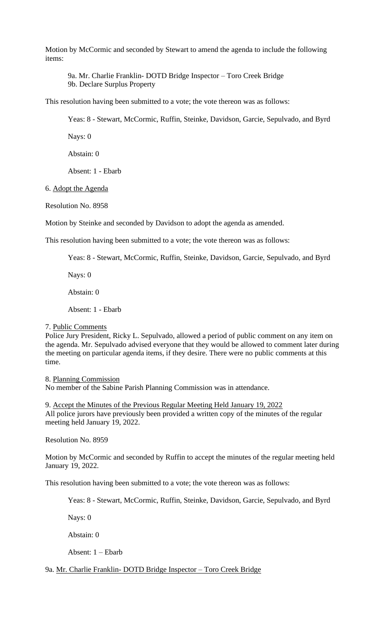Motion by McCormic and seconded by Stewart to amend the agenda to include the following items:

9a. Mr. Charlie Franklin- DOTD Bridge Inspector – Toro Creek Bridge 9b. Declare Surplus Property

This resolution having been submitted to a vote; the vote thereon was as follows:

Yeas: 8 - Stewart, McCormic, Ruffin, Steinke, Davidson, Garcie, Sepulvado, and Byrd

Nays: 0

Abstain: 0

Absent: 1 - Ebarb

6. Adopt the Agenda

Resolution No. 8958

Motion by Steinke and seconded by Davidson to adopt the agenda as amended.

This resolution having been submitted to a vote; the vote thereon was as follows:

Yeas: 8 - Stewart, McCormic, Ruffin, Steinke, Davidson, Garcie, Sepulvado, and Byrd

Nays: 0

Abstain: 0

Absent: 1 - Ebarb

#### 7. Public Comments

Police Jury President, Ricky L. Sepulvado, allowed a period of public comment on any item on the agenda. Mr. Sepulvado advised everyone that they would be allowed to comment later during the meeting on particular agenda items, if they desire. There were no public comments at this time.

8. Planning Commission No member of the Sabine Parish Planning Commission was in attendance.

9. Accept the Minutes of the Previous Regular Meeting Held January 19, 2022 All police jurors have previously been provided a written copy of the minutes of the regular meeting held January 19, 2022.

Resolution No. 8959

Motion by McCormic and seconded by Ruffin to accept the minutes of the regular meeting held January 19, 2022.

This resolution having been submitted to a vote; the vote thereon was as follows:

Yeas: 8 - Stewart, McCormic, Ruffin, Steinke, Davidson, Garcie, Sepulvado, and Byrd

Nays: 0

Abstain: 0

Absent: 1 – Ebarb

9a. Mr. Charlie Franklin- DOTD Bridge Inspector – Toro Creek Bridge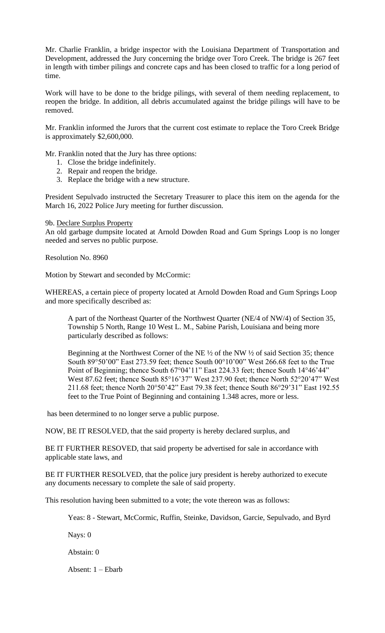Mr. Charlie Franklin, a bridge inspector with the Louisiana Department of Transportation and Development, addressed the Jury concerning the bridge over Toro Creek. The bridge is 267 feet in length with timber pilings and concrete caps and has been closed to traffic for a long period of time.

Work will have to be done to the bridge pilings, with several of them needing replacement, to reopen the bridge. In addition, all debris accumulated against the bridge pilings will have to be removed.

Mr. Franklin informed the Jurors that the current cost estimate to replace the Toro Creek Bridge is approximately \$2,600,000.

Mr. Franklin noted that the Jury has three options:

- 1. Close the bridge indefinitely.
- 2. Repair and reopen the bridge.
- 3. Replace the bridge with a new structure.

President Sepulvado instructed the Secretary Treasurer to place this item on the agenda for the March 16, 2022 Police Jury meeting for further discussion.

#### 9b. Declare Surplus Property

An old garbage dumpsite located at Arnold Dowden Road and Gum Springs Loop is no longer needed and serves no public purpose.

Resolution No. 8960

Motion by Stewart and seconded by McCormic:

WHEREAS, a certain piece of property located at Arnold Dowden Road and Gum Springs Loop and more specifically described as:

A part of the Northeast Quarter of the Northwest Quarter (NE/4 of NW/4) of Section 35, Township 5 North, Range 10 West L. M., Sabine Parish, Louisiana and being more particularly described as follows:

Beginning at the Northwest Corner of the NE ½ of the NW ½ of said Section 35; thence South 89°50'00" East 273.59 feet; thence South 00°10'00" West 266.68 feet to the True Point of Beginning; thence South 67°04'11" East 224.33 feet; thence South 14°46'44" West 87.62 feet; thence South 85°16'37" West 237.90 feet; thence North 52°20'47" West 211.68 feet; thence North 20°50'42" East 79.38 feet; thence South 86°29'31" East 192.55 feet to the True Point of Beginning and containing 1.348 acres, more or less.

has been determined to no longer serve a public purpose.

NOW, BE IT RESOLVED, that the said property is hereby declared surplus, and

BE IT FURTHER RESOVED, that said property be advertised for sale in accordance with applicable state laws, and

BE IT FURTHER RESOLVED, that the police jury president is hereby authorized to execute any documents necessary to complete the sale of said property.

This resolution having been submitted to a vote; the vote thereon was as follows:

Yeas: 8 - Stewart, McCormic, Ruffin, Steinke, Davidson, Garcie, Sepulvado, and Byrd

Nays: 0

Abstain: 0

Absent: 1 – Ebarb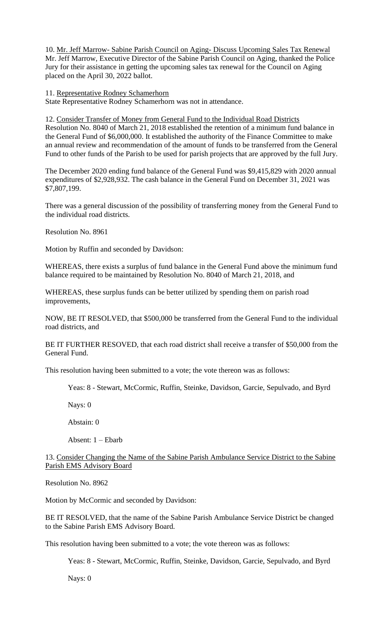10. Mr. Jeff Marrow- Sabine Parish Council on Aging- Discuss Upcoming Sales Tax Renewal Mr. Jeff Marrow, Executive Director of the Sabine Parish Council on Aging, thanked the Police Jury for their assistance in getting the upcoming sales tax renewal for the Council on Aging placed on the April 30, 2022 ballot.

#### 11. Representative Rodney Schamerhorn

State Representative Rodney Schamerhorn was not in attendance.

12. Consider Transfer of Money from General Fund to the Individual Road Districts Resolution No. 8040 of March 21, 2018 established the retention of a minimum fund balance in the General Fund of \$6,000,000. It established the authority of the Finance Committee to make an annual review and recommendation of the amount of funds to be transferred from the General Fund to other funds of the Parish to be used for parish projects that are approved by the full Jury.

The December 2020 ending fund balance of the General Fund was \$9,415,829 with 2020 annual expenditures of \$2,928,932. The cash balance in the General Fund on December 31, 2021 was \$7,807,199.

There was a general discussion of the possibility of transferring money from the General Fund to the individual road districts.

Resolution No. 8961

Motion by Ruffin and seconded by Davidson:

WHEREAS, there exists a surplus of fund balance in the General Fund above the minimum fund balance required to be maintained by Resolution No. 8040 of March 21, 2018, and

WHEREAS, these surplus funds can be better utilized by spending them on parish road improvements,

NOW, BE IT RESOLVED, that \$500,000 be transferred from the General Fund to the individual road districts, and

BE IT FURTHER RESOVED, that each road district shall receive a transfer of \$50,000 from the General Fund.

This resolution having been submitted to a vote; the vote thereon was as follows:

Yeas: 8 - Stewart, McCormic, Ruffin, Steinke, Davidson, Garcie, Sepulvado, and Byrd

Nays: 0

Abstain: 0

Absent: 1 – Ebarb

13. Consider Changing the Name of the Sabine Parish Ambulance Service District to the Sabine Parish EMS Advisory Board

Resolution No. 8962

Motion by McCormic and seconded by Davidson:

BE IT RESOLVED, that the name of the Sabine Parish Ambulance Service District be changed to the Sabine Parish EMS Advisory Board.

This resolution having been submitted to a vote; the vote thereon was as follows:

Yeas: 8 - Stewart, McCormic, Ruffin, Steinke, Davidson, Garcie, Sepulvado, and Byrd

Nays: 0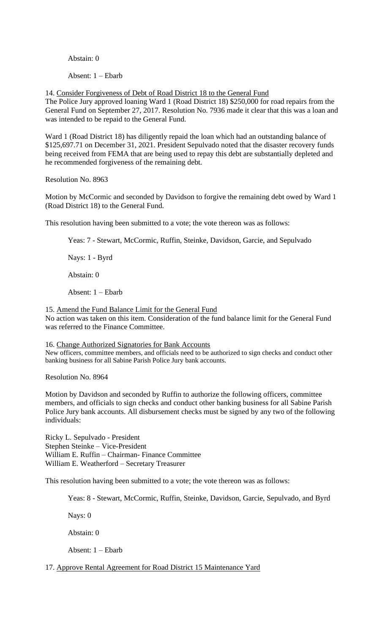#### Abstain: 0

Absent: 1 – Ebarb

14. Consider Forgiveness of Debt of Road District 18 to the General Fund

The Police Jury approved loaning Ward 1 (Road District 18) \$250,000 for road repairs from the General Fund on September 27, 2017. Resolution No. 7936 made it clear that this was a loan and was intended to be repaid to the General Fund.

Ward 1 (Road District 18) has diligently repaid the loan which had an outstanding balance of \$125,697.71 on December 31, 2021. President Sepulvado noted that the disaster recovery funds being received from FEMA that are being used to repay this debt are substantially depleted and he recommended forgiveness of the remaining debt.

Resolution No. 8963

Motion by McCormic and seconded by Davidson to forgive the remaining debt owed by Ward 1 (Road District 18) to the General Fund.

This resolution having been submitted to a vote; the vote thereon was as follows:

Yeas: 7 - Stewart, McCormic, Ruffin, Steinke, Davidson, Garcie, and Sepulvado

Nays: 1 - Byrd

Abstain: 0

Absent: 1 – Ebarb

15. Amend the Fund Balance Limit for the General Fund

No action was taken on this item. Consideration of the fund balance limit for the General Fund was referred to the Finance Committee.

16. Change Authorized Signatories for Bank Accounts New officers, committee members, and officials need to be authorized to sign checks and conduct other banking business for all Sabine Parish Police Jury bank accounts.

Resolution No. 8964

Motion by Davidson and seconded by Ruffin to authorize the following officers, committee members, and officials to sign checks and conduct other banking business for all Sabine Parish Police Jury bank accounts. All disbursement checks must be signed by any two of the following individuals:

Ricky L. Sepulvado - President Stephen Steinke – Vice-President William E. Ruffin – Chairman- Finance Committee William E. Weatherford – Secretary Treasurer

This resolution having been submitted to a vote; the vote thereon was as follows:

Yeas: 8 - Stewart, McCormic, Ruffin, Steinke, Davidson, Garcie, Sepulvado, and Byrd

Nays: 0

Abstain: 0

Absent: 1 – Ebarb

17. Approve Rental Agreement for Road District 15 Maintenance Yard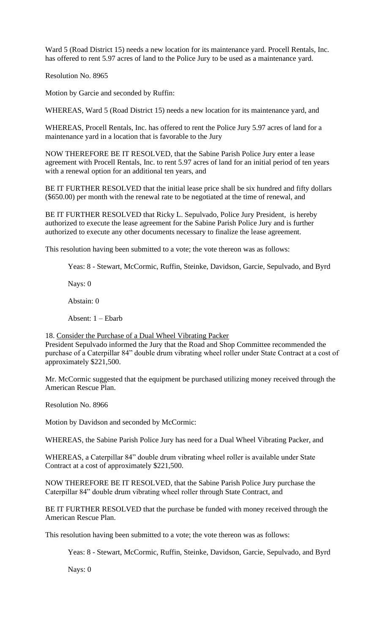Ward 5 (Road District 15) needs a new location for its maintenance yard. Procell Rentals, Inc. has offered to rent 5.97 acres of land to the Police Jury to be used as a maintenance yard.

Resolution No. 8965

Motion by Garcie and seconded by Ruffin:

WHEREAS, Ward 5 (Road District 15) needs a new location for its maintenance yard, and

WHEREAS, Procell Rentals, Inc. has offered to rent the Police Jury 5.97 acres of land for a maintenance yard in a location that is favorable to the Jury

NOW THEREFORE BE IT RESOLVED, that the Sabine Parish Police Jury enter a lease agreement with Procell Rentals, Inc. to rent 5.97 acres of land for an initial period of ten years with a renewal option for an additional ten years, and

BE IT FURTHER RESOLVED that the initial lease price shall be six hundred and fifty dollars (\$650.00) per month with the renewal rate to be negotiated at the time of renewal, and

BE IT FURTHER RESOLVED that Ricky L. Sepulvado, Police Jury President, is hereby authorized to execute the lease agreement for the Sabine Parish Police Jury and is further authorized to execute any other documents necessary to finalize the lease agreement.

This resolution having been submitted to a vote; the vote thereon was as follows:

Yeas: 8 - Stewart, McCormic, Ruffin, Steinke, Davidson, Garcie, Sepulvado, and Byrd

Nays: 0

Abstain: 0

Absent: 1 – Ebarb

18. Consider the Purchase of a Dual Wheel Vibrating Packer

President Sepulvado informed the Jury that the Road and Shop Committee recommended the purchase of a Caterpillar 84" double drum vibrating wheel roller under State Contract at a cost of approximately \$221,500.

Mr. McCormic suggested that the equipment be purchased utilizing money received through the American Rescue Plan.

Resolution No. 8966

Motion by Davidson and seconded by McCormic:

WHEREAS, the Sabine Parish Police Jury has need for a Dual Wheel Vibrating Packer, and

WHEREAS, a Caterpillar 84" double drum vibrating wheel roller is available under State Contract at a cost of approximately \$221,500.

NOW THEREFORE BE IT RESOLVED, that the Sabine Parish Police Jury purchase the Caterpillar 84" double drum vibrating wheel roller through State Contract, and

BE IT FURTHER RESOLVED that the purchase be funded with money received through the American Rescue Plan.

This resolution having been submitted to a vote; the vote thereon was as follows:

Yeas: 8 - Stewart, McCormic, Ruffin, Steinke, Davidson, Garcie, Sepulvado, and Byrd

Nays: 0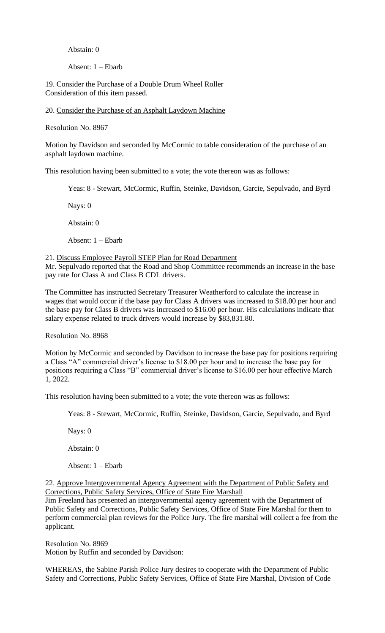## Abstain: 0

Absent: 1 – Ebarb

19. Consider the Purchase of a Double Drum Wheel Roller Consideration of this item passed.

20. Consider the Purchase of an Asphalt Laydown Machine

Resolution No. 8967

Motion by Davidson and seconded by McCormic to table consideration of the purchase of an asphalt laydown machine.

This resolution having been submitted to a vote; the vote thereon was as follows:

Yeas: 8 - Stewart, McCormic, Ruffin, Steinke, Davidson, Garcie, Sepulvado, and Byrd

Nays: 0

Abstain: 0

Absent: 1 – Ebarb

21. Discuss Employee Payroll STEP Plan for Road Department

Mr. Sepulvado reported that the Road and Shop Committee recommends an increase in the base pay rate for Class A and Class B CDL drivers.

The Committee has instructed Secretary Treasurer Weatherford to calculate the increase in wages that would occur if the base pay for Class A drivers was increased to \$18.00 per hour and the base pay for Class B drivers was increased to \$16.00 per hour. His calculations indicate that salary expense related to truck drivers would increase by \$83,831.80.

Resolution No. 8968

Motion by McCormic and seconded by Davidson to increase the base pay for positions requiring a Class "A" commercial driver's license to \$18.00 per hour and to increase the base pay for positions requiring a Class "B" commercial driver's license to \$16.00 per hour effective March 1, 2022.

This resolution having been submitted to a vote; the vote thereon was as follows:

Yeas: 8 - Stewart, McCormic, Ruffin, Steinke, Davidson, Garcie, Sepulvado, and Byrd

Nays: 0

Abstain: 0

Absent: 1 – Ebarb

22. Approve Intergovernmental Agency Agreement with the Department of Public Safety and Corrections, Public Safety Services, Office of State Fire Marshall

Jim Freeland has presented an intergovernmental agency agreement with the Department of Public Safety and Corrections, Public Safety Services, Office of State Fire Marshal for them to perform commercial plan reviews for the Police Jury. The fire marshal will collect a fee from the applicant.

Resolution No. 8969 Motion by Ruffin and seconded by Davidson:

WHEREAS, the Sabine Parish Police Jury desires to cooperate with the Department of Public Safety and Corrections, Public Safety Services, Office of State Fire Marshal, Division of Code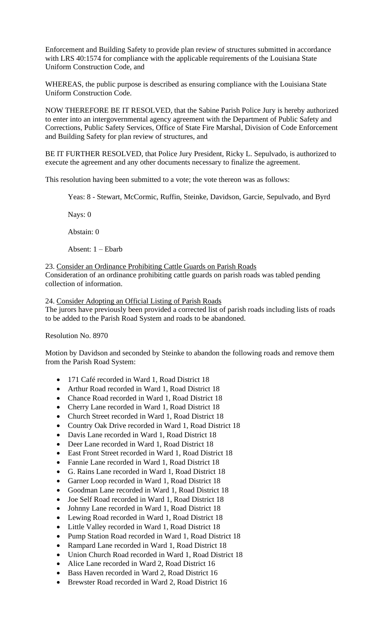Enforcement and Building Safety to provide plan review of structures submitted in accordance with LRS 40:1574 for compliance with the applicable requirements of the Louisiana State Uniform Construction Code, and

WHEREAS, the public purpose is described as ensuring compliance with the Louisiana State Uniform Construction Code.

NOW THEREFORE BE IT RESOLVED, that the Sabine Parish Police Jury is hereby authorized to enter into an intergovernmental agency agreement with the Department of Public Safety and Corrections, Public Safety Services, Office of State Fire Marshal, Division of Code Enforcement and Building Safety for plan review of structures, and

BE IT FURTHER RESOLVED, that Police Jury President, Ricky L. Sepulvado, is authorized to execute the agreement and any other documents necessary to finalize the agreement.

This resolution having been submitted to a vote; the vote thereon was as follows:

Yeas: 8 - Stewart, McCormic, Ruffin, Steinke, Davidson, Garcie, Sepulvado, and Byrd

Nays: 0

Abstain: 0

Absent: 1 – Ebarb

23. Consider an Ordinance Prohibiting Cattle Guards on Parish Roads Consideration of an ordinance prohibiting cattle guards on parish roads was tabled pending collection of information.

24. Consider Adopting an Official Listing of Parish Roads The jurors have previously been provided a corrected list of parish roads including lists of roads to be added to the Parish Road System and roads to be abandoned.

Resolution No. 8970

Motion by Davidson and seconded by Steinke to abandon the following roads and remove them from the Parish Road System:

- 171 Café recorded in Ward 1, Road District 18
- Arthur Road recorded in Ward 1, Road District 18
- Chance Road recorded in Ward 1, Road District 18
- Cherry Lane recorded in Ward 1, Road District 18
- Church Street recorded in Ward 1, Road District 18
- Country Oak Drive recorded in Ward 1, Road District 18
- Davis Lane recorded in Ward 1, Road District 18
- Deer Lane recorded in Ward 1, Road District 18
- East Front Street recorded in Ward 1, Road District 18
- Fannie Lane recorded in Ward 1, Road District 18
- G. Rains Lane recorded in Ward 1, Road District 18
- Garner Loop recorded in Ward 1, Road District 18
- Goodman Lane recorded in Ward 1, Road District 18
- Joe Self Road recorded in Ward 1, Road District 18
- Johnny Lane recorded in Ward 1, Road District 18
- Lewing Road recorded in Ward 1, Road District 18
- Little Valley recorded in Ward 1, Road District 18
- Pump Station Road recorded in Ward 1, Road District 18
- Rampard Lane recorded in Ward 1, Road District 18
- Union Church Road recorded in Ward 1, Road District 18
- Alice Lane recorded in Ward 2, Road District 16
- Bass Haven recorded in Ward 2, Road District 16
- Brewster Road recorded in Ward 2, Road District 16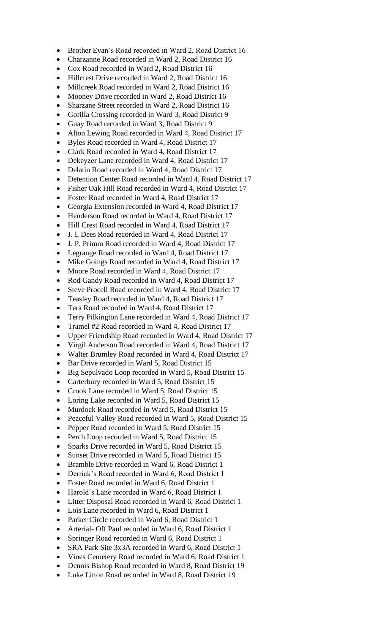- Brother Evan's Road recorded in Ward 2, Road District 16
- Charzanne Road recorded in Ward 2, Road District 16
- Cox Road recorded in Ward 2, Road District 16
- Hillcrest Drive recorded in Ward 2, Road District 16
- Millcreek Road recorded in Ward 2, Road District 16
- Mooney Drive recorded in Ward 2, Road District 16
- Sharzane Street recorded in Ward 2, Road District 16
- Gorilla Crossing recorded in Ward 3, Road District 9
- Guay Road recorded in Ward 3, Road District 9
- Alton Lewing Road recorded in Ward 4, Road District 17
- Byles Road recorded in Ward 4, Road District 17
- Clark Road recorded in Ward 4, Road District 17
- Dekeyzer Lane recorded in Ward 4, Road District 17
- Delatin Road recorded in Ward 4, Road District 17
- Detention Center Road recorded in Ward 4, Road District 17
- Fisher Oak Hill Road recorded in Ward 4, Road District 17
- Foster Road recorded in Ward 4, Road District 17
- Georgia Extension recorded in Ward 4, Road District 17
- Henderson Road recorded in Ward 4, Road District 17
- Hill Crest Road recorded in Ward 4, Road District 17
- J. I, Dees Road recorded in Ward 4, Road District 17
- J. P. Primm Road recorded in Ward 4, Road District 17
- Legrange Road recorded in Ward 4, Road District 17
- Mike Goings Road recorded in Ward 4, Road District 17
- Moore Road recorded in Ward 4, Road District 17
- Rod Gandy Road recorded in Ward 4, Road District 17
- Steve Procell Road recorded in Ward 4, Road District 17
- Teasley Road recorded in Ward 4, Road District 17
- Tera Road recorded in Ward 4, Road District 17
- Terry Pilkington Lane recorded in Ward 4, Road District 17
- Tramel #2 Road recorded in Ward 4, Road District 17
- Upper Friendship Road recorded in Ward 4, Road District 17
- Virgil Anderson Road recorded in Ward 4, Road District 17
- Walter Brumley Road recorded in Ward 4, Road District 17
- Bar Drive recorded in Ward 5, Road District 15
- Big Sepulvado Loop recorded in Ward 5, Road District 15
- Carterbury recorded in Ward 5, Road District 15
- Crook Lane recorded in Ward 5, Road District 15
- Loring Lake recorded in Ward 5, Road District 15
- Murdock Road recorded in Ward 5, Road District 15
- Peaceful Valley Road recorded in Ward 5, Road District 15
- Pepper Road recorded in Ward 5, Road District 15
- Perch Loop recorded in Ward 5, Road District 15
- Sparks Drive recorded in Ward 5, Road District 15
- Sunset Drive recorded in Ward 5, Road District 15
- Bramble Drive recorded in Ward 6, Road District 1
- Derrick's Road recorded in Ward 6, Road District 1
- Foster Road recorded in Ward 6, Road District 1
- Harold's Lane recorded in Ward 6, Road District 1
- Litter Disposal Road recorded in Ward 6, Road District 1
- Lois Lane recorded in Ward 6, Road District 1
- Parker Circle recorded in Ward 6, Road District 1
- Arterial- Off Paul recorded in Ward 6, Road District 1
- Springer Road recorded in Ward 6, Road District 1
- SRA Park Site 3x3A recorded in Ward 6, Road District 1
- Vines Cemetery Road recorded in Ward 6, Road District 1
- Dennis Bishop Road recorded in Ward 8, Road District 19
- Luke Litton Road recorded in Ward 8, Road District 19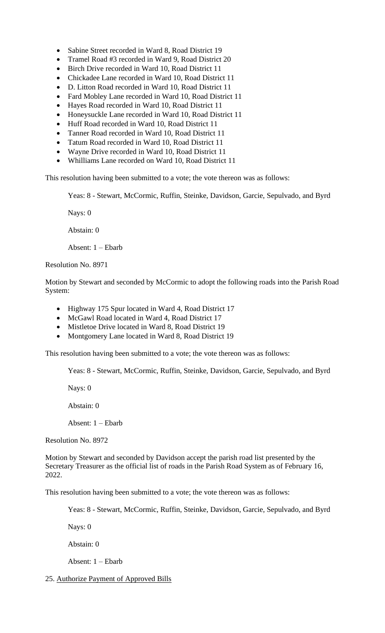- Sabine Street recorded in Ward 8, Road District 19
- Tramel Road #3 recorded in Ward 9, Road District 20
- Birch Drive recorded in Ward 10, Road District 11
- Chickadee Lane recorded in Ward 10, Road District 11
- D. Litton Road recorded in Ward 10, Road District 11
- Fard Mobley Lane recorded in Ward 10, Road District 11
- Hayes Road recorded in Ward 10, Road District 11
- Honeysuckle Lane recorded in Ward 10, Road District 11
- Huff Road recorded in Ward 10, Road District 11
- Tanner Road recorded in Ward 10, Road District 11
- Tatum Road recorded in Ward 10, Road District 11
- Wayne Drive recorded in Ward 10, Road District 11
- Whilliams Lane recorded on Ward 10, Road District 11

This resolution having been submitted to a vote; the vote thereon was as follows:

Yeas: 8 - Stewart, McCormic, Ruffin, Steinke, Davidson, Garcie, Sepulvado, and Byrd

Nays: 0

Abstain: 0

Absent: 1 – Ebarb

Resolution No. 8971

Motion by Stewart and seconded by McCormic to adopt the following roads into the Parish Road System:

- Highway 175 Spur located in Ward 4, Road District 17
- McGawl Road located in Ward 4, Road District 17
- Mistletoe Drive located in Ward 8, Road District 19
- Montgomery Lane located in Ward 8, Road District 19

This resolution having been submitted to a vote; the vote thereon was as follows:

Yeas: 8 - Stewart, McCormic, Ruffin, Steinke, Davidson, Garcie, Sepulvado, and Byrd

Nays: 0

Abstain: 0

Absent: 1 – Ebarb

Resolution No. 8972

Motion by Stewart and seconded by Davidson accept the parish road list presented by the Secretary Treasurer as the official list of roads in the Parish Road System as of February 16, 2022.

This resolution having been submitted to a vote; the vote thereon was as follows:

Yeas: 8 - Stewart, McCormic, Ruffin, Steinke, Davidson, Garcie, Sepulvado, and Byrd

Nays: 0

Abstain: 0

Absent: 1 – Ebarb

25. Authorize Payment of Approved Bills